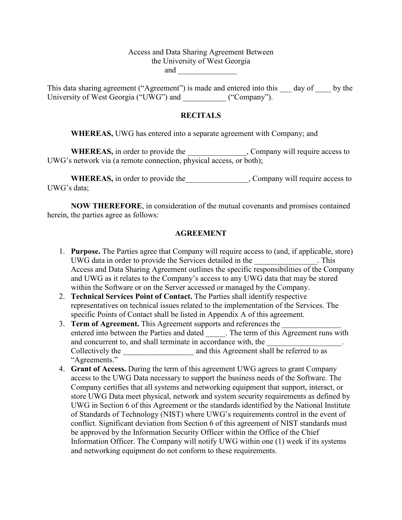## Access and Data Sharing Agreement Between the University of West Georgia and  $\qquad \qquad \qquad$

This data sharing agreement ("Agreement") is made and entered into this \_\_\_ day of \_\_\_\_ by the University of West Georgia ("UWG") and ("Company").

### **RECITALS**

**WHEREAS,** UWG has entered into a separate agreement with Company; and

WHEREAS, in order to provide the \_\_\_\_\_\_\_\_\_\_\_\_\_\_, Company will require access to UWG's network via (a remote connection, physical access, or both);

WHEREAS, in order to provide the two sections of the company will require access to UWG's data;

**NOW THEREFORE**, in consideration of the mutual covenants and promises contained herein, the parties agree as follows:

### **AGREEMENT**

- 1. **Purpose.** The Parties agree that Company will require access to (and, if applicable, store) UWG data in order to provide the Services detailed in the \_\_\_\_\_\_\_\_\_\_\_\_\_\_\_\_. This Access and Data Sharing Agreement outlines the specific responsibilities of the Company and UWG as it relates to the Company's access to any UWG data that may be stored within the Software or on the Server accessed or managed by the Company.
- 2. **Technical Services Point of Contact.** The Parties shall identify respective representatives on technical issues related to the implementation of the Services. The specific Points of Contact shall be listed in Appendix A of this agreement.
- 3. **Term of Agreement.** This Agreement supports and references the entered into between the Parties and dated \_\_\_\_\_. The term of this Agreement runs with and concurrent to, and shall terminate in accordance with, the Collectively the \_\_\_\_\_\_\_\_\_\_\_\_\_\_\_\_\_\_\_\_\_\_ and this Agreement shall be referred to as "Agreements."
- 4. **Grant of Access.** During the term of this agreement UWG agrees to grant Company access to the UWG Data necessary to support the business needs of the Software. The Company certifies that all systems and networking equipment that support, interact, or store UWG Data meet physical, network and system security requirements as defined by UWG in Section 6 of this Agreement or the standards identified by the National Institute of Standards of Technology (NIST) where UWG's requirements control in the event of conflict. Significant deviation from Section 6 of this agreement of NIST standards must be approved by the Information Security Officer within the Office of the Chief Information Officer. The Company will notify UWG within one (1) week if its systems and networking equipment do not conform to these requirements.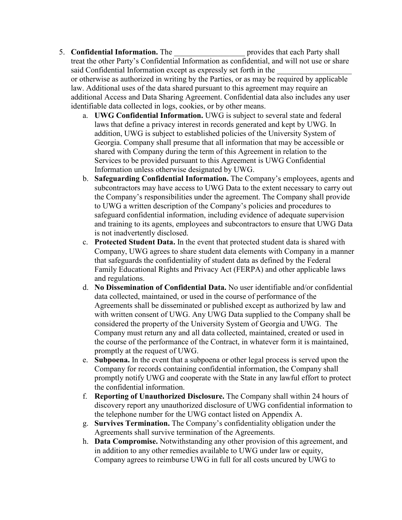# 5. **Confidential Information.** The **representing the set of provides that each Party shall**

treat the other Party's Confidential Information as confidential, and will not use or share said Confidential Information except as expressly set forth in the or otherwise as authorized in writing by the Parties, or as may be required by applicable law. Additional uses of the data shared pursuant to this agreement may require an additional Access and Data Sharing Agreement. Confidential data also includes any user identifiable data collected in logs, cookies, or by other means.

- a. **UWG Confidential Information.** UWG is subject to several state and federal laws that define a privacy interest in records generated and kept by UWG. In addition, UWG is subject to established policies of the University System of Georgia. Company shall presume that all information that may be accessible or shared with Company during the term of this Agreement in relation to the Services to be provided pursuant to this Agreement is UWG Confidential Information unless otherwise designated by UWG.
- b. **Safeguarding Confidential Information.** The Company's employees, agents and subcontractors may have access to UWG Data to the extent necessary to carry out the Company's responsibilities under the agreement. The Company shall provide to UWG a written description of the Company's policies and procedures to safeguard confidential information, including evidence of adequate supervision and training to its agents, employees and subcontractors to ensure that UWG Data is not inadvertently disclosed.
- c. **Protected Student Data.** In the event that protected student data is shared with Company, UWG agrees to share student data elements with Company in a manner that safeguards the confidentiality of student data as defined by the Federal Family Educational Rights and Privacy Act (FERPA) and other applicable laws and regulations.
- d. **No Dissemination of Confidential Data.** No user identifiable and/or confidential data collected, maintained, or used in the course of performance of the Agreements shall be disseminated or published except as authorized by law and with written consent of UWG. Any UWG Data supplied to the Company shall be considered the property of the University System of Georgia and UWG. The Company must return any and all data collected, maintained, created or used in the course of the performance of the Contract, in whatever form it is maintained, promptly at the request of UWG.
- e. **Subpoena.** In the event that a subpoena or other legal process is served upon the Company for records containing confidential information, the Company shall promptly notify UWG and cooperate with the State in any lawful effort to protect the confidential information.
- f. **Reporting of Unauthorized Disclosure.** The Company shall within 24 hours of discovery report any unauthorized disclosure of UWG confidential information to the telephone number for the UWG contact listed on Appendix A.
- g. **Survives Termination.** The Company's confidentiality obligation under the Agreements shall survive termination of the Agreements.
- h. **Data Compromise.** Notwithstanding any other provision of this agreement, and in addition to any other remedies available to UWG under law or equity, Company agrees to reimburse UWG in full for all costs uncured by UWG to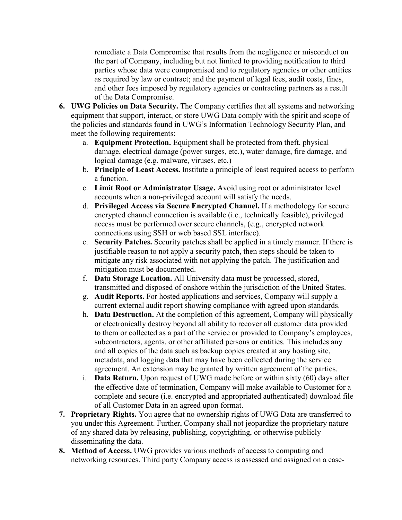remediate a Data Compromise that results from the negligence or misconduct on the part of Company, including but not limited to providing notification to third parties whose data were compromised and to regulatory agencies or other entities as required by law or contract; and the payment of legal fees, audit costs, fines, and other fees imposed by regulatory agencies or contracting partners as a result of the Data Compromise.

- **6. UWG Policies on Data Security.** The Company certifies that all systems and networking equipment that support, interact, or store UWG Data comply with the spirit and scope of the policies and standards found in UWG's Information Technology Security Plan, and meet the following requirements:
	- a. **Equipment Protection.** Equipment shall be protected from theft, physical damage, electrical damage (power surges, etc.), water damage, fire damage, and logical damage (e.g. malware, viruses, etc.)
	- b. **Principle of Least Access.** Institute a principle of least required access to perform a function.
	- c. **Limit Root or Administrator Usage.** Avoid using root or administrator level accounts when a non-privileged account will satisfy the needs.
	- d. **Privileged Access via Secure Encrypted Channel.** If a methodology for secure encrypted channel connection is available (i.e., technically feasible), privileged access must be performed over secure channels, (e.g., encrypted network connections using SSH or web based SSL interface).
	- e. **Security Patches.** Security patches shall be applied in a timely manner. If there is justifiable reason to not apply a security patch, then steps should be taken to mitigate any risk associated with not applying the patch. The justification and mitigation must be documented.
	- f. **Data Storage Location.** All University data must be processed, stored, transmitted and disposed of onshore within the jurisdiction of the United States.
	- g. **Audit Reports.** For hosted applications and services, Company will supply a current external audit report showing compliance with agreed upon standards.
	- h. **Data Destruction.** At the completion of this agreement, Company will physically or electronically destroy beyond all ability to recover all customer data provided to them or collected as a part of the service or provided to Company's employees, subcontractors, agents, or other affiliated persons or entities. This includes any and all copies of the data such as backup copies created at any hosting site, metadata, and logging data that may have been collected during the service agreement. An extension may be granted by written agreement of the parties.
	- i. **Data Return.** Upon request of UWG made before or within sixty (60) days after the effective date of termination, Company will make available to Customer for a complete and secure (i.e. encrypted and appropriated authenticated) download file of all Customer Data in an agreed upon format.
- **7. Proprietary Rights.** You agree that no ownership rights of UWG Data are transferred to you under this Agreement. Further, Company shall not jeopardize the proprietary nature of any shared data by releasing, publishing, copyrighting, or otherwise publicly disseminating the data.
- **8. Method of Access.** UWG provides various methods of access to computing and networking resources. Third party Company access is assessed and assigned on a case-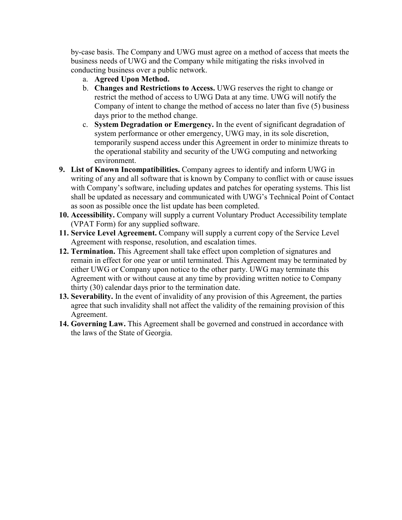by-case basis. The Company and UWG must agree on a method of access that meets the business needs of UWG and the Company while mitigating the risks involved in conducting business over a public network.

- a. **Agreed Upon Method.**
- b. **Changes and Restrictions to Access.** UWG reserves the right to change or restrict the method of access to UWG Data at any time. UWG will notify the Company of intent to change the method of access no later than five (5) business days prior to the method change.
- c. **System Degradation or Emergency.** In the event of significant degradation of system performance or other emergency, UWG may, in its sole discretion, temporarily suspend access under this Agreement in order to minimize threats to the operational stability and security of the UWG computing and networking environment.
- **9. List of Known Incompatibilities.** Company agrees to identify and inform UWG in writing of any and all software that is known by Company to conflict with or cause issues with Company's software, including updates and patches for operating systems. This list shall be updated as necessary and communicated with UWG's Technical Point of Contact as soon as possible once the list update has been completed.
- **10. Accessibility.** Company will supply a current Voluntary Product Accessibility template (VPAT Form) for any supplied software.
- **11. Service Level Agreement.** Company will supply a current copy of the Service Level Agreement with response, resolution, and escalation times.
- **12. Termination.** This Agreement shall take effect upon completion of signatures and remain in effect for one year or until terminated. This Agreement may be terminated by either UWG or Company upon notice to the other party. UWG may terminate this Agreement with or without cause at any time by providing written notice to Company thirty (30) calendar days prior to the termination date.
- **13. Severability.** In the event of invalidity of any provision of this Agreement, the parties agree that such invalidity shall not affect the validity of the remaining provision of this Agreement.
- **14. Governing Law.** This Agreement shall be governed and construed in accordance with the laws of the State of Georgia.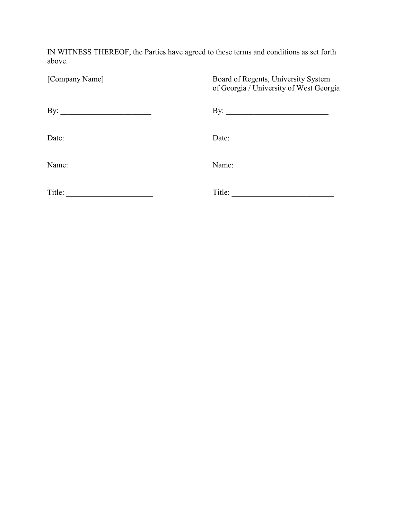IN WITNESS THEREOF, the Parties have agreed to these terms and conditions as set forth above.

| [Company Name]                                                                                                                                                                                                                                 | Board of Regents, University System<br>of Georgia / University of West Georgia |
|------------------------------------------------------------------------------------------------------------------------------------------------------------------------------------------------------------------------------------------------|--------------------------------------------------------------------------------|
| By: $\qquad \qquad$                                                                                                                                                                                                                            | By: $\qquad \qquad$                                                            |
| Date:                                                                                                                                                                                                                                          | Date: $\qquad \qquad$                                                          |
| Name:                                                                                                                                                                                                                                          | Name: $\qquad \qquad$                                                          |
| Title:<br><u> 1990 - Johann Barn, mars ann an t-Amhraich ann an t-Amhraich ann an t-Amhraich ann an t-Amhraich ann an t-Amhraich ann an t-Amhraich ann an t-Amhraich ann an t-Amhraich ann an t-Amhraich ann an t-Amhraich ann an t-Amhrai</u> | Title:<br><u> 2000 - Jan Alexandria (h. 1888).</u>                             |